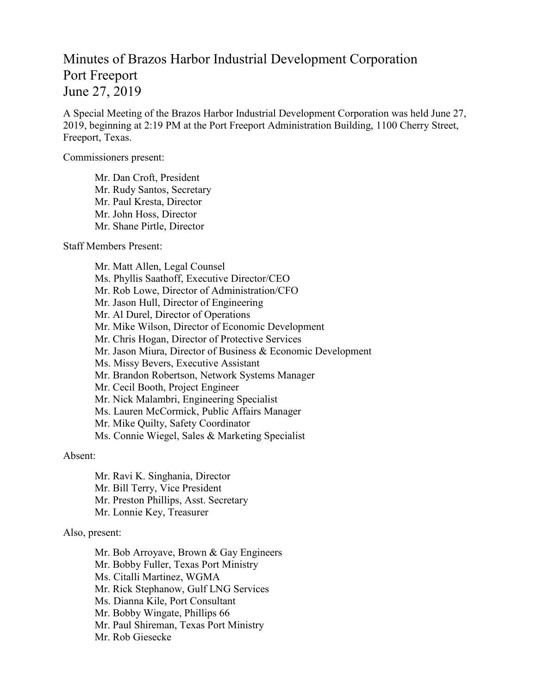## Minutes of Brazos Harbor Industrial Development Corporation Port Freeport June 27, 2019

A Special Meeting of the Brazos Harbor Industrial Development Corporation was held June 27, 2019, beginning at 2:19 PM at the Port Freeport Administration Building, 1100 Cherry Street, Freeport, Texas.

Commissioners present:

Mr. Dan Croft, President Mr. Rudy Santos, Secretary Mr. Paul Kresta, Director Mr. John Hoss, Director Mr. Shane Pirtle, Director

Staff Members Present:

Mr. Matt Allen, Legal Counsel Ms. Phyllis Saathoff, Executive Director/CEO Mr. Rob Lowe, Director of Administration/CFO Mr. Jason Hull, Director of Engineering Mr. Al Durel, Director of Operations Mr. Mike Wilson, Director of Economic Development Mr. Chris Hogan, Director of Protective Services Mr. Jason Miura, Director of Business & Economic Development Ms. Missy Bevers, Executive Assistant Mr. Brandon Robertson, Network Systems Manager Mr. Cecil Booth, Project Engineer Mr. Nick Malambri, Engineering Specialist Ms. Lauren McCormick, Public Affairs Manager Mr. Mike Quilty, Safety Coordinator Ms. Connie Wiegel, Sales & Marketing Specialist

Absent:

Mr. Ravi K. Singhania, Director Mr. Bill Terry, Vice President Mr. Preston Phillips, Asst. Secretary Mr. Lonnie Key, Treasurer

## Also, present:

Mr. Bob Arroyave, Brown & Gay Engineers Mr. Bobby Fuller, Texas Port Ministry Ms. Citalli Martinez, WGMA Mr. Rick Stephanow, Gulf LNG Services Ms. Dianna Kile, Port Consultant Mr. Bobby Wingate, Phillips 66 Mr. Paul Shireman, Texas Port Ministry Mr. Rob Giesecke